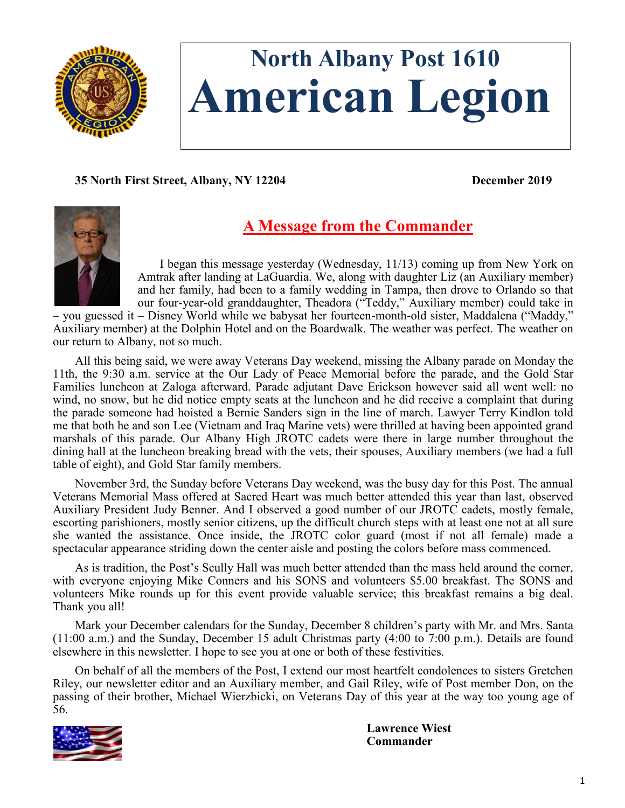

# **North Albany Post 1610 American Legion**

**35 North First Street, Albany, NY 12204 December 2019**



## **A Message from the Commander**

I began this message yesterday (Wednesday, 11/13) coming up from New York on Amtrak after landing at LaGuardia. We, along with daughter Liz (an Auxiliary member) and her family, had been to a family wedding in Tampa, then drove to Orlando so that our four-year-old granddaughter, Theadora ("Teddy," Auxiliary member) could take in

– you guessed it – Disney World while we babysat her fourteen-month-old sister, Maddalena ("Maddy," Auxiliary member) at the Dolphin Hotel and on the Boardwalk. The weather was perfect. The weather on our return to Albany, not so much.

All this being said, we were away Veterans Day weekend, missing the Albany parade on Monday the 11th, the 9:30 a.m. service at the Our Lady of Peace Memorial before the parade, and the Gold Star Families luncheon at Zaloga afterward. Parade adjutant Dave Erickson however said all went well: no wind, no snow, but he did notice empty seats at the luncheon and he did receive a complaint that during the parade someone had hoisted a Bernie Sanders sign in the line of march. Lawyer Terry Kindlon told me that both he and son Lee (Vietnam and Iraq Marine vets) were thrilled at having been appointed grand marshals of this parade. Our Albany High JROTC cadets were there in large number throughout the dining hall at the luncheon breaking bread with the vets, their spouses, Auxiliary members (we had a full table of eight), and Gold Star family members.

November 3rd, the Sunday before Veterans Day weekend, was the busy day for this Post. The annual Veterans Memorial Mass offered at Sacred Heart was much better attended this year than last, observed Auxiliary President Judy Benner. And I observed a good number of our JROTC cadets, mostly female, escorting parishioners, mostly senior citizens, up the difficult church steps with at least one not at all sure she wanted the assistance. Once inside, the JROTC color guard (most if not all female) made a spectacular appearance striding down the center aisle and posting the colors before mass commenced.

As is tradition, the Post's Scully Hall was much better attended than the mass held around the corner, with everyone enjoying Mike Conners and his SONS and volunteers \$5.00 breakfast. The SONS and volunteers Mike rounds up for this event provide valuable service; this breakfast remains a big deal. Thank you all!

Mark your December calendars for the Sunday, December 8 children's party with Mr. and Mrs. Santa (11:00 a.m.) and the Sunday, December 15 adult Christmas party (4:00 to 7:00 p.m.). Details are found elsewhere in this newsletter. I hope to see you at one or both of these festivities.

On behalf of all the members of the Post, I extend our most heartfelt condolences to sisters Gretchen Riley, our newsletter editor and an Auxiliary member, and Gail Riley, wife of Post member Don, on the passing of their brother, Michael Wierzbicki, on Veterans Day of this year at the way too young age of 56.



**Lawrence Wiest Commander**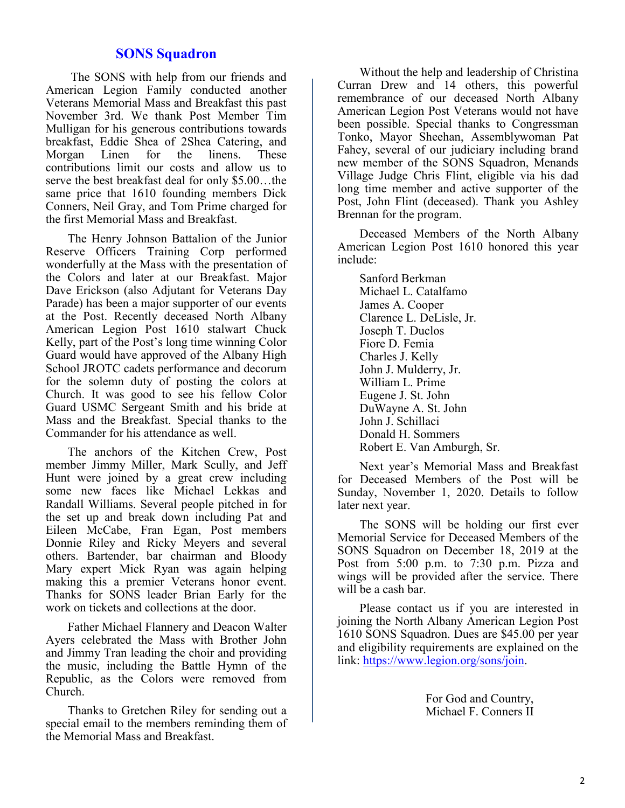## **SONS Squadron**

The SONS with help from our friends and American Legion Family conducted another Veterans Memorial Mass and Breakfast this past November 3rd. We thank Post Member Tim Mulligan for his generous contributions towards breakfast, Eddie Shea of 2Shea Catering, and Morgan Linen for the linens. These contributions limit our costs and allow us to serve the best breakfast deal for only \$5.00…the same price that 1610 founding members Dick Conners, Neil Gray, and Tom Prime charged for the first Memorial Mass and Breakfast.

The Henry Johnson Battalion of the Junior Reserve Officers Training Corp performed wonderfully at the Mass with the presentation of the Colors and later at our Breakfast. Major Dave Erickson (also Adjutant for Veterans Day Parade) has been a major supporter of our events at the Post. Recently deceased North Albany American Legion Post 1610 stalwart Chuck Kelly, part of the Post's long time winning Color Guard would have approved of the Albany High School JROTC cadets performance and decorum for the solemn duty of posting the colors at Church. It was good to see his fellow Color Guard USMC Sergeant Smith and his bride at Mass and the Breakfast. Special thanks to the Commander for his attendance as well.

The anchors of the Kitchen Crew, Post member Jimmy Miller, Mark Scully, and Jeff Hunt were joined by a great crew including some new faces like Michael Lekkas and Randall Williams. Several people pitched in for the set up and break down including Pat and Eileen McCabe, Fran Egan, Post members Donnie Riley and Ricky Meyers and several others. Bartender, bar chairman and Bloody Mary expert Mick Ryan was again helping making this a premier Veterans honor event. Thanks for SONS leader Brian Early for the work on tickets and collections at the door.

Father Michael Flannery and Deacon Walter Ayers celebrated the Mass with Brother John and Jimmy Tran leading the choir and providing the music, including the Battle Hymn of the Republic, as the Colors were removed from Church.

Thanks to Gretchen Riley for sending out a special email to the members reminding them of the Memorial Mass and Breakfast.

Without the help and leadership of Christina Curran Drew and 14 others, this powerful remembrance of our deceased North Albany American Legion Post Veterans would not have been possible. Special thanks to Congressman Tonko, Mayor Sheehan, Assemblywoman Pat Fahey, several of our judiciary including brand new member of the SONS Squadron, Menands Village Judge Chris Flint, eligible via his dad long time member and active supporter of the Post, John Flint (deceased). Thank you Ashley Brennan for the program.

Deceased Members of the North Albany American Legion Post 1610 honored this year include:

Sanford Berkman Michael L. Catalfamo James A. Cooper Clarence L. DeLisle, Jr. Joseph T. Duclos Fiore D. Femia Charles J. Kelly John J. Mulderry, Jr. William L. Prime Eugene J. St. John DuWayne A. St. John John J. Schillaci Donald H. Sommers Robert E. Van Amburgh, Sr.

Next year's Memorial Mass and Breakfast for Deceased Members of the Post will be Sunday, November 1, 2020. Details to follow later next year.

The SONS will be holding our first ever Memorial Service for Deceased Members of the SONS Squadron on December 18, 2019 at the Post from 5:00 p.m. to 7:30 p.m. Pizza and wings will be provided after the service. There will be a cash bar.

Please contact us if you are interested in joining the North Albany American Legion Post 1610 SONS Squadron. Dues are \$45.00 per year and eligibility requirements are explained on the link: [https://www.legion.org/sons/join.](https://www.legion.org/sons/join)

> For God and Country, Michael F. Conners II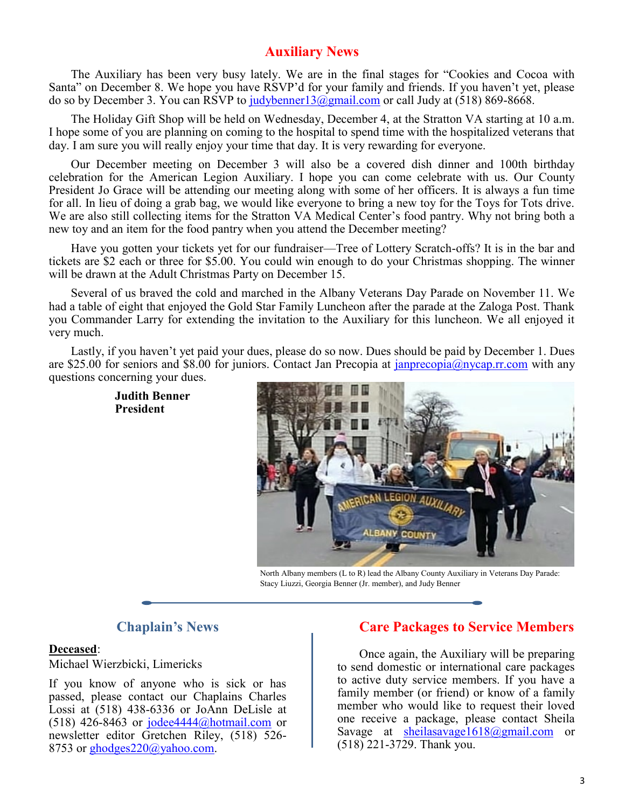## **Auxiliary News**

The Auxiliary has been very busy lately. We are in the final stages for "Cookies and Cocoa with Santa" on December 8. We hope you have RSVP'd for your family and friends. If you haven't yet, please do so by December 3. You can RSVP to [judybenner13@gmail.com](mailto:judybenner13@gmail.com) or call Judy at (518) 869-8668.

The Holiday Gift Shop will be held on Wednesday, December 4, at the Stratton VA starting at 10 a.m. I hope some of you are planning on coming to the hospital to spend time with the hospitalized veterans that day. I am sure you will really enjoy your time that day. It is very rewarding for everyone.

Our December meeting on December 3 will also be a covered dish dinner and 100th birthday celebration for the American Legion Auxiliary. I hope you can come celebrate with us. Our County President Jo Grace will be attending our meeting along with some of her officers. It is always a fun time for all. In lieu of doing a grab bag, we would like everyone to bring a new toy for the Toys for Tots drive. We are also still collecting items for the Stratton VA Medical Center's food pantry. Why not bring both a new toy and an item for the food pantry when you attend the December meeting?

Have you gotten your tickets yet for our fundraiser—Tree of Lottery Scratch-offs? It is in the bar and tickets are \$2 each or three for \$5.00. You could win enough to do your Christmas shopping. The winner will be drawn at the Adult Christmas Party on December 15.

Several of us braved the cold and marched in the Albany Veterans Day Parade on November 11. We had a table of eight that enjoyed the Gold Star Family Luncheon after the parade at the Zaloga Post. Thank you Commander Larry for extending the invitation to the Auxiliary for this luncheon. We all enjoyed it very much.

Lastly, if you haven't yet paid your dues, please do so now. Dues should be paid by December 1. Dues are \$25.00 for seniors and \$8.00 for juniors. Contact Jan Precopia at [janprecopia@nycap.rr.com](mailto:janprecopia@nycap.rr.com) with any questions concerning your dues.

> **Judith Benner President**



North Albany members (L to R) lead the Albany County Auxiliary in Veterans Day Parade: Stacy Liuzzi, Georgia Benner (Jr. member), and Judy Benner

## **Chaplain's News**

#### **Deceased**:

Michael Wierzbicki, Limericks

If you know of anyone who is sick or has passed, please contact our Chaplains Charles Lossi at (518) 438-6336 or JoAnn DeLisle at (518) 426-8463 or [jodee4444@hotmail.com](mailto:jodee4444@hotmail.com) or newsletter editor Gretchen Riley, (518) 526 8753 or [ghodges220@yahoo.com.](mailto:ghodges220@yahoo.com)

## **Care Packages to Service Members**

Once again, the Auxiliary will be preparing to send domestic or international care packages to active duty service members. If you have a family member (or friend) or know of a family member who would like to request their loved one receive a package, please contact Sheila Savage at [sheilasavage1618@gmail.com](mailto:sheilasavage1618@gmail.com) or (518) 221-3729. Thank you.